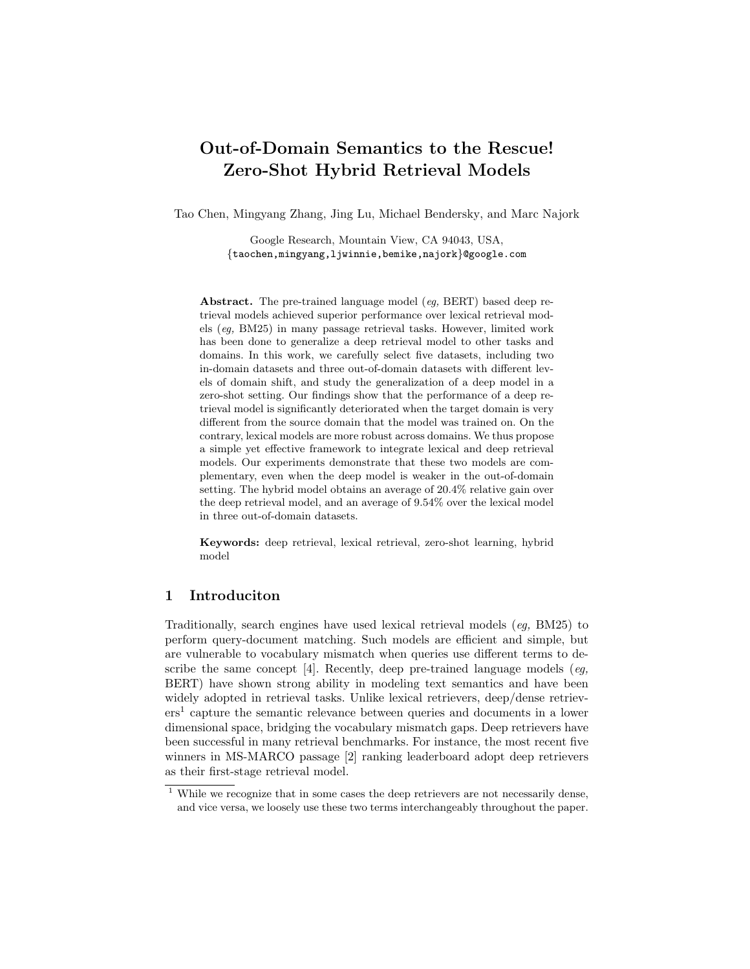# Out-of-Domain Semantics to the Rescue! Zero-Shot Hybrid Retrieval Models

Tao Chen, Mingyang Zhang, Jing Lu, Michael Bendersky, and Marc Najork

Google Research, Mountain View, CA 94043, USA, {taochen,mingyang,ljwinnie,bemike,najork}@google.com

Abstract. The pre-trained language model (eg, BERT) based deep retrieval models achieved superior performance over lexical retrieval models (eg, BM25) in many passage retrieval tasks. However, limited work has been done to generalize a deep retrieval model to other tasks and domains. In this work, we carefully select five datasets, including two in-domain datasets and three out-of-domain datasets with different levels of domain shift, and study the generalization of a deep model in a zero-shot setting. Our findings show that the performance of a deep retrieval model is significantly deteriorated when the target domain is very different from the source domain that the model was trained on. On the contrary, lexical models are more robust across domains. We thus propose a simple yet effective framework to integrate lexical and deep retrieval models. Our experiments demonstrate that these two models are complementary, even when the deep model is weaker in the out-of-domain setting. The hybrid model obtains an average of 20.4% relative gain over the deep retrieval model, and an average of 9.54% over the lexical model in three out-of-domain datasets.

Keywords: deep retrieval, lexical retrieval, zero-shot learning, hybrid model

# 1 Introduciton

Traditionally, search engines have used lexical retrieval models (eg, BM25) to perform query-document matching. Such models are efficient and simple, but are vulnerable to vocabulary mismatch when queries use different terms to describe the same concept [4]. Recently, deep pre-trained language models (eq. BERT) have shown strong ability in modeling text semantics and have been widely adopted in retrieval tasks. Unlike lexical retrievers, deep/dense retrievers<sup>1</sup> capture the semantic relevance between queries and documents in a lower dimensional space, bridging the vocabulary mismatch gaps. Deep retrievers have been successful in many retrieval benchmarks. For instance, the most recent five winners in MS-MARCO passage [2] ranking leaderboard adopt deep retrievers as their first-stage retrieval model.

 $^{\rm 1}$  While we recognize that in some cases the deep retrievers are not necessarily dense, and vice versa, we loosely use these two terms interchangeably throughout the paper.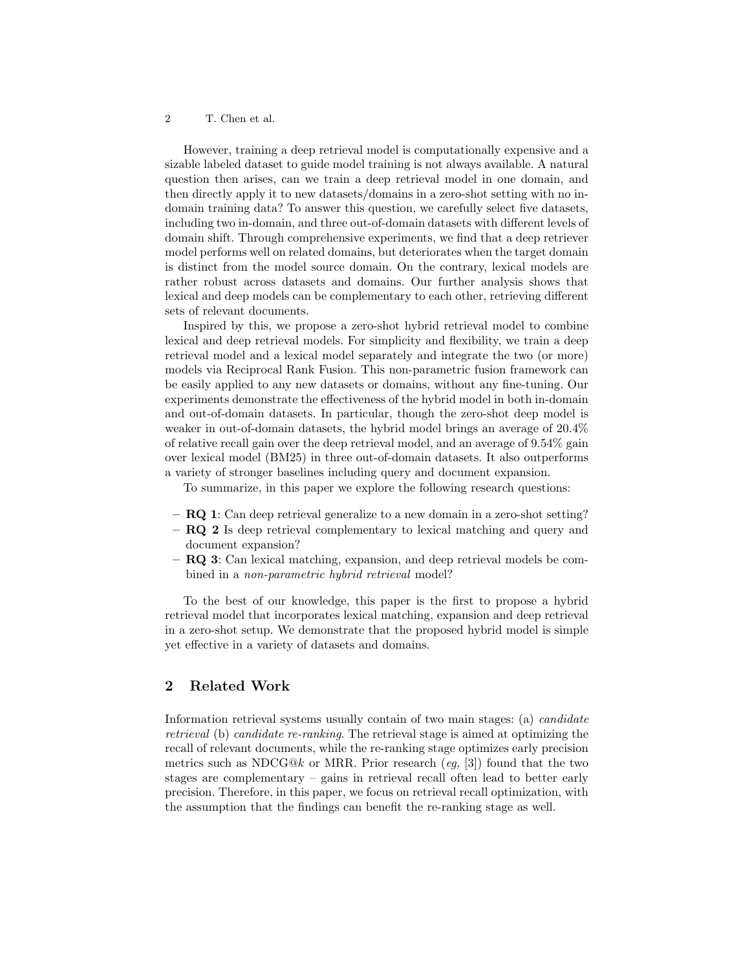However, training a deep retrieval model is computationally expensive and a sizable labeled dataset to guide model training is not always available. A natural question then arises, can we train a deep retrieval model in one domain, and then directly apply it to new datasets/domains in a zero-shot setting with no indomain training data? To answer this question, we carefully select five datasets, including two in-domain, and three out-of-domain datasets with different levels of domain shift. Through comprehensive experiments, we find that a deep retriever model performs well on related domains, but deteriorates when the target domain is distinct from the model source domain. On the contrary, lexical models are rather robust across datasets and domains. Our further analysis shows that lexical and deep models can be complementary to each other, retrieving different sets of relevant documents.

Inspired by this, we propose a zero-shot hybrid retrieval model to combine lexical and deep retrieval models. For simplicity and flexibility, we train a deep retrieval model and a lexical model separately and integrate the two (or more) models via Reciprocal Rank Fusion. This non-parametric fusion framework can be easily applied to any new datasets or domains, without any fine-tuning. Our experiments demonstrate the effectiveness of the hybrid model in both in-domain and out-of-domain datasets. In particular, though the zero-shot deep model is weaker in out-of-domain datasets, the hybrid model brings an average of 20.4% of relative recall gain over the deep retrieval model, and an average of 9.54% gain over lexical model (BM25) in three out-of-domain datasets. It also outperforms a variety of stronger baselines including query and document expansion.

To summarize, in this paper we explore the following research questions:

- RQ 1: Can deep retrieval generalize to a new domain in a zero-shot setting?
- RQ 2 Is deep retrieval complementary to lexical matching and query and document expansion?
- RQ 3: Can lexical matching, expansion, and deep retrieval models be combined in a non-parametric hybrid retrieval model?

To the best of our knowledge, this paper is the first to propose a hybrid retrieval model that incorporates lexical matching, expansion and deep retrieval in a zero-shot setup. We demonstrate that the proposed hybrid model is simple yet effective in a variety of datasets and domains.

# 2 Related Work

Information retrieval systems usually contain of two main stages: (a) candidate retrieval (b) candidate re-ranking. The retrieval stage is aimed at optimizing the recall of relevant documents, while the re-ranking stage optimizes early precision metrics such as NDCG@k or MRR. Prior research (eg, [3]) found that the two stages are complementary – gains in retrieval recall often lead to better early precision. Therefore, in this paper, we focus on retrieval recall optimization, with the assumption that the findings can benefit the re-ranking stage as well.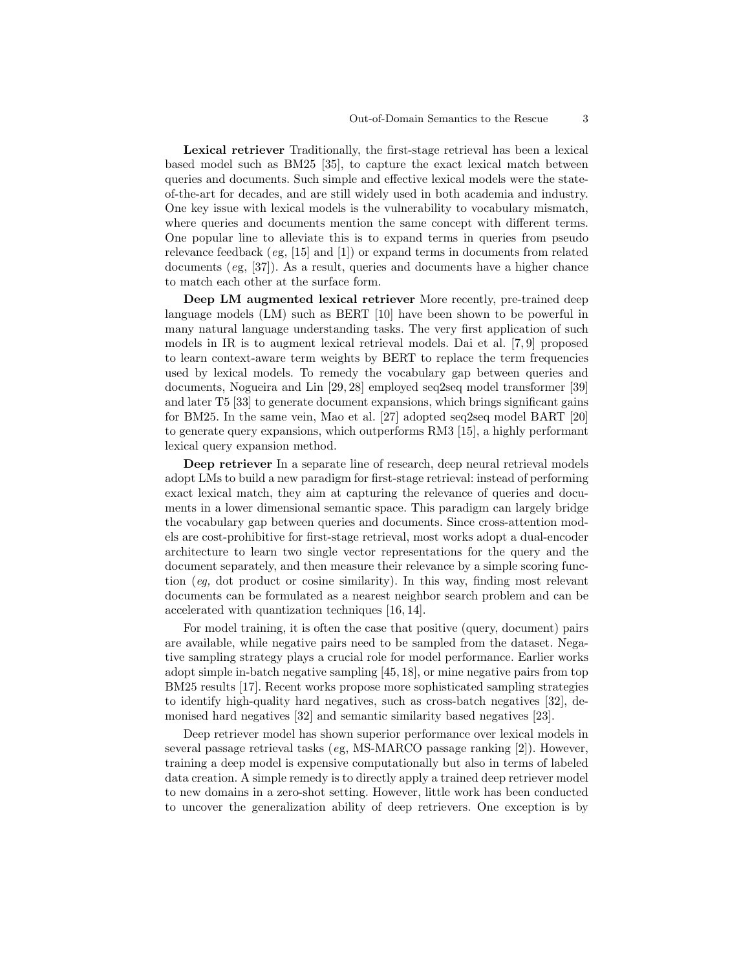Lexical retriever Traditionally, the first-stage retrieval has been a lexical based model such as BM25 [35], to capture the exact lexical match between queries and documents. Such simple and effective lexical models were the stateof-the-art for decades, and are still widely used in both academia and industry. One key issue with lexical models is the vulnerability to vocabulary mismatch, where queries and documents mention the same concept with different terms. One popular line to alleviate this is to expand terms in queries from pseudo relevance feedback (eg, [15] and [1]) or expand terms in documents from related documents (eg, [37]). As a result, queries and documents have a higher chance to match each other at the surface form.

Deep LM augmented lexical retriever More recently, pre-trained deep language models (LM) such as BERT [10] have been shown to be powerful in many natural language understanding tasks. The very first application of such models in IR is to augment lexical retrieval models. Dai et al. [7, 9] proposed to learn context-aware term weights by BERT to replace the term frequencies used by lexical models. To remedy the vocabulary gap between queries and documents, Nogueira and Lin [29, 28] employed seq2seq model transformer [39] and later T5 [33] to generate document expansions, which brings significant gains for BM25. In the same vein, Mao et al. [27] adopted seq2seq model BART [20] to generate query expansions, which outperforms RM3 [15], a highly performant lexical query expansion method.

Deep retriever In a separate line of research, deep neural retrieval models adopt LMs to build a new paradigm for first-stage retrieval: instead of performing exact lexical match, they aim at capturing the relevance of queries and documents in a lower dimensional semantic space. This paradigm can largely bridge the vocabulary gap between queries and documents. Since cross-attention models are cost-prohibitive for first-stage retrieval, most works adopt a dual-encoder architecture to learn two single vector representations for the query and the document separately, and then measure their relevance by a simple scoring function (eg, dot product or cosine similarity). In this way, finding most relevant documents can be formulated as a nearest neighbor search problem and can be accelerated with quantization techniques [16, 14].

For model training, it is often the case that positive (query, document) pairs are available, while negative pairs need to be sampled from the dataset. Negative sampling strategy plays a crucial role for model performance. Earlier works adopt simple in-batch negative sampling [45, 18], or mine negative pairs from top BM25 results [17]. Recent works propose more sophisticated sampling strategies to identify high-quality hard negatives, such as cross-batch negatives [32], demonised hard negatives [32] and semantic similarity based negatives [23].

Deep retriever model has shown superior performance over lexical models in several passage retrieval tasks (eg, MS-MARCO passage ranking [2]). However, training a deep model is expensive computationally but also in terms of labeled data creation. A simple remedy is to directly apply a trained deep retriever model to new domains in a zero-shot setting. However, little work has been conducted to uncover the generalization ability of deep retrievers. One exception is by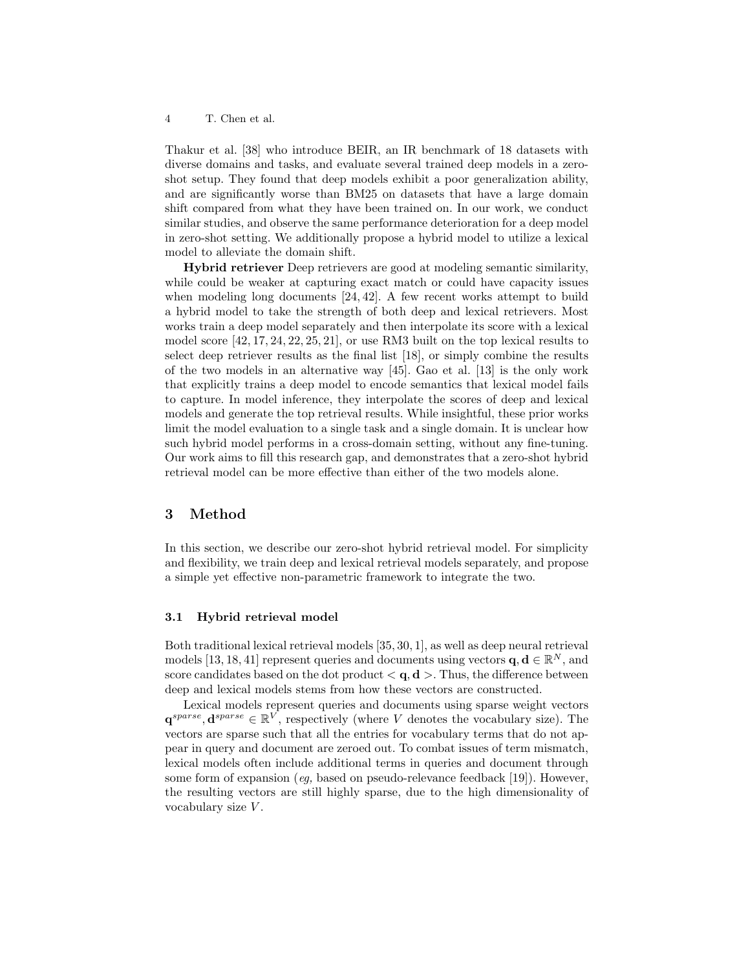Thakur et al. [38] who introduce BEIR, an IR benchmark of 18 datasets with diverse domains and tasks, and evaluate several trained deep models in a zeroshot setup. They found that deep models exhibit a poor generalization ability, and are significantly worse than BM25 on datasets that have a large domain shift compared from what they have been trained on. In our work, we conduct similar studies, and observe the same performance deterioration for a deep model in zero-shot setting. We additionally propose a hybrid model to utilize a lexical model to alleviate the domain shift.

Hybrid retriever Deep retrievers are good at modeling semantic similarity, while could be weaker at capturing exact match or could have capacity issues when modeling long documents [24, 42]. A few recent works attempt to build a hybrid model to take the strength of both deep and lexical retrievers. Most works train a deep model separately and then interpolate its score with a lexical model score [42, 17, 24, 22, 25, 21], or use RM3 built on the top lexical results to select deep retriever results as the final list [18], or simply combine the results of the two models in an alternative way [45]. Gao et al. [13] is the only work that explicitly trains a deep model to encode semantics that lexical model fails to capture. In model inference, they interpolate the scores of deep and lexical models and generate the top retrieval results. While insightful, these prior works limit the model evaluation to a single task and a single domain. It is unclear how such hybrid model performs in a cross-domain setting, without any fine-tuning. Our work aims to fill this research gap, and demonstrates that a zero-shot hybrid retrieval model can be more effective than either of the two models alone.

# 3 Method

In this section, we describe our zero-shot hybrid retrieval model. For simplicity and flexibility, we train deep and lexical retrieval models separately, and propose a simple yet effective non-parametric framework to integrate the two.

#### 3.1 Hybrid retrieval model

Both traditional lexical retrieval models [35, 30, 1], as well as deep neural retrieval models [13, 18, 41] represent queries and documents using vectors  $\mathbf{q}, \mathbf{d} \in \mathbb{R}^N$ , and score candidates based on the dot product  $\langle \mathbf{q}, \mathbf{d} \rangle$ . Thus, the difference between deep and lexical models stems from how these vectors are constructed.

Lexical models represent queries and documents using sparse weight vectors  $\mathbf{q}^{sparse}, \mathbf{d}^{sparse} \in \mathbb{R}^V$ , respectively (where V denotes the vocabulary size). The vectors are sparse such that all the entries for vocabulary terms that do not appear in query and document are zeroed out. To combat issues of term mismatch, lexical models often include additional terms in queries and document through some form of expansion (eq, based on pseudo-relevance feedback [19]). However, the resulting vectors are still highly sparse, due to the high dimensionality of vocabulary size V .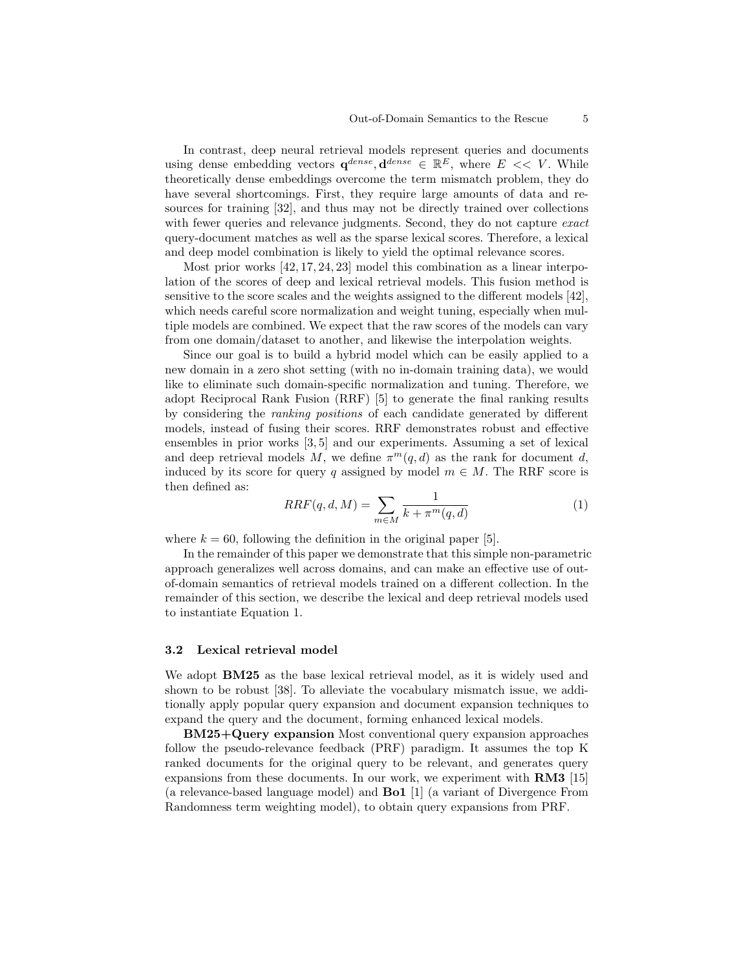In contrast, deep neural retrieval models represent queries and documents using dense embedding vectors  $\mathbf{q}^{dense}, \mathbf{d}^{dense} \in \mathbb{R}^E$ , where  $E \ll V$ . While theoretically dense embeddings overcome the term mismatch problem, they do have several shortcomings. First, they require large amounts of data and resources for training [32], and thus may not be directly trained over collections with fewer queries and relevance judgments. Second, they do not capture *exact* query-document matches as well as the sparse lexical scores. Therefore, a lexical and deep model combination is likely to yield the optimal relevance scores.

Most prior works [42, 17, 24, 23] model this combination as a linear interpolation of the scores of deep and lexical retrieval models. This fusion method is sensitive to the score scales and the weights assigned to the different models [42], which needs careful score normalization and weight tuning, especially when multiple models are combined. We expect that the raw scores of the models can vary from one domain/dataset to another, and likewise the interpolation weights.

Since our goal is to build a hybrid model which can be easily applied to a new domain in a zero shot setting (with no in-domain training data), we would like to eliminate such domain-specific normalization and tuning. Therefore, we adopt Reciprocal Rank Fusion (RRF) [5] to generate the final ranking results by considering the ranking positions of each candidate generated by different models, instead of fusing their scores. RRF demonstrates robust and effective ensembles in prior works [3, 5] and our experiments. Assuming a set of lexical and deep retrieval models M, we define  $\pi^m(q, d)$  as the rank for document d, induced by its score for query q assigned by model  $m \in M$ . The RRF score is then defined as:

$$
RRF(q, d, M) = \sum_{m \in M} \frac{1}{k + \pi^m(q, d)}\tag{1}
$$

where  $k = 60$ , following the definition in the original paper [5].

In the remainder of this paper we demonstrate that this simple non-parametric approach generalizes well across domains, and can make an effective use of outof-domain semantics of retrieval models trained on a different collection. In the remainder of this section, we describe the lexical and deep retrieval models used to instantiate Equation 1.

#### 3.2 Lexical retrieval model

We adopt **BM25** as the base lexical retrieval model, as it is widely used and shown to be robust [38]. To alleviate the vocabulary mismatch issue, we additionally apply popular query expansion and document expansion techniques to expand the query and the document, forming enhanced lexical models.

BM25+Query expansion Most conventional query expansion approaches follow the pseudo-relevance feedback (PRF) paradigm. It assumes the top K ranked documents for the original query to be relevant, and generates query expansions from these documents. In our work, we experiment with RM3 [15] (a relevance-based language model) and Bo1 [1] (a variant of Divergence From Randomness term weighting model), to obtain query expansions from PRF.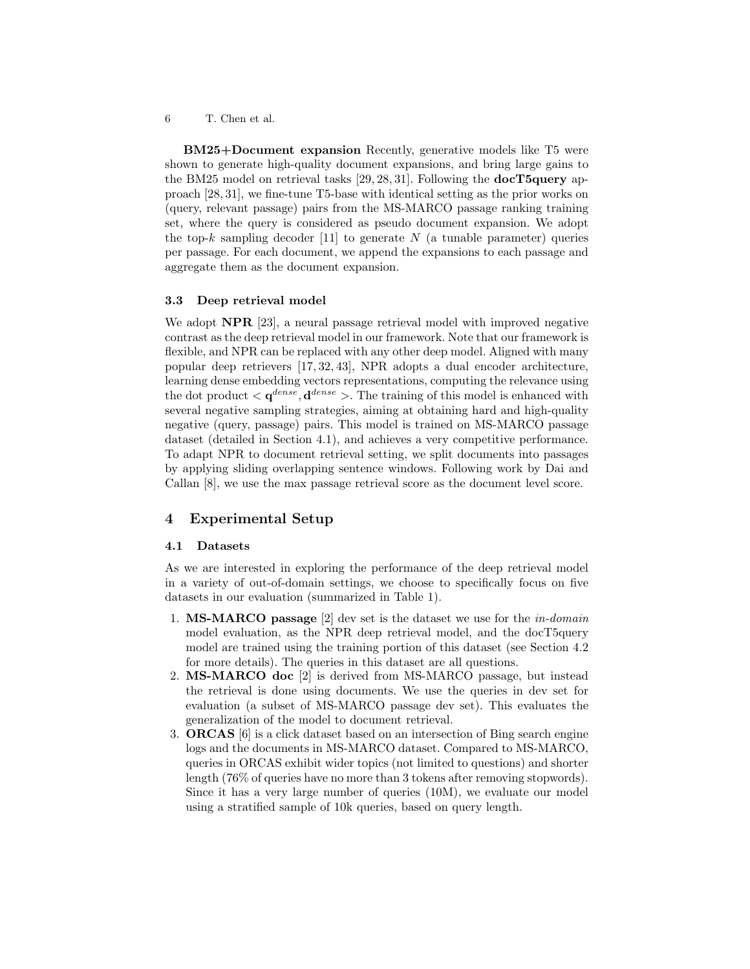BM25+Document expansion Recently, generative models like T5 were shown to generate high-quality document expansions, and bring large gains to the BM25 model on retrieval tasks  $[29, 28, 31]$ . Following the **docT5query** approach [28, 31], we fine-tune T5-base with identical setting as the prior works on (query, relevant passage) pairs from the MS-MARCO passage ranking training set, where the query is considered as pseudo document expansion. We adopt the top-k sampling decoder [11] to generate N (a tunable parameter) queries per passage. For each document, we append the expansions to each passage and aggregate them as the document expansion.

#### 3.3 Deep retrieval model

We adopt **NPR** [23], a neural passage retrieval model with improved negative contrast as the deep retrieval model in our framework. Note that our framework is flexible, and NPR can be replaced with any other deep model. Aligned with many popular deep retrievers [17, 32, 43], NPR adopts a dual encoder architecture, learning dense embedding vectors representations, computing the relevance using the dot product  $\langle \mathbf{q}^{dense}, \mathbf{d}^{dense} \rangle$ . The training of this model is enhanced with several negative sampling strategies, aiming at obtaining hard and high-quality negative (query, passage) pairs. This model is trained on MS-MARCO passage dataset (detailed in Section 4.1), and achieves a very competitive performance. To adapt NPR to document retrieval setting, we split documents into passages by applying sliding overlapping sentence windows. Following work by Dai and Callan [8], we use the max passage retrieval score as the document level score.

# 4 Experimental Setup

### 4.1 Datasets

As we are interested in exploring the performance of the deep retrieval model in a variety of out-of-domain settings, we choose to specifically focus on five datasets in our evaluation (summarized in Table 1).

- 1. MS-MARCO passage [2] dev set is the dataset we use for the in-domain model evaluation, as the NPR deep retrieval model, and the docT5query model are trained using the training portion of this dataset (see Section 4.2 for more details). The queries in this dataset are all questions.
- 2. MS-MARCO doc [2] is derived from MS-MARCO passage, but instead the retrieval is done using documents. We use the queries in dev set for evaluation (a subset of MS-MARCO passage dev set). This evaluates the generalization of the model to document retrieval.
- 3. ORCAS [6] is a click dataset based on an intersection of Bing search engine logs and the documents in MS-MARCO dataset. Compared to MS-MARCO, queries in ORCAS exhibit wider topics (not limited to questions) and shorter length (76% of queries have no more than 3 tokens after removing stopwords). Since it has a very large number of queries (10M), we evaluate our model using a stratified sample of 10k queries, based on query length.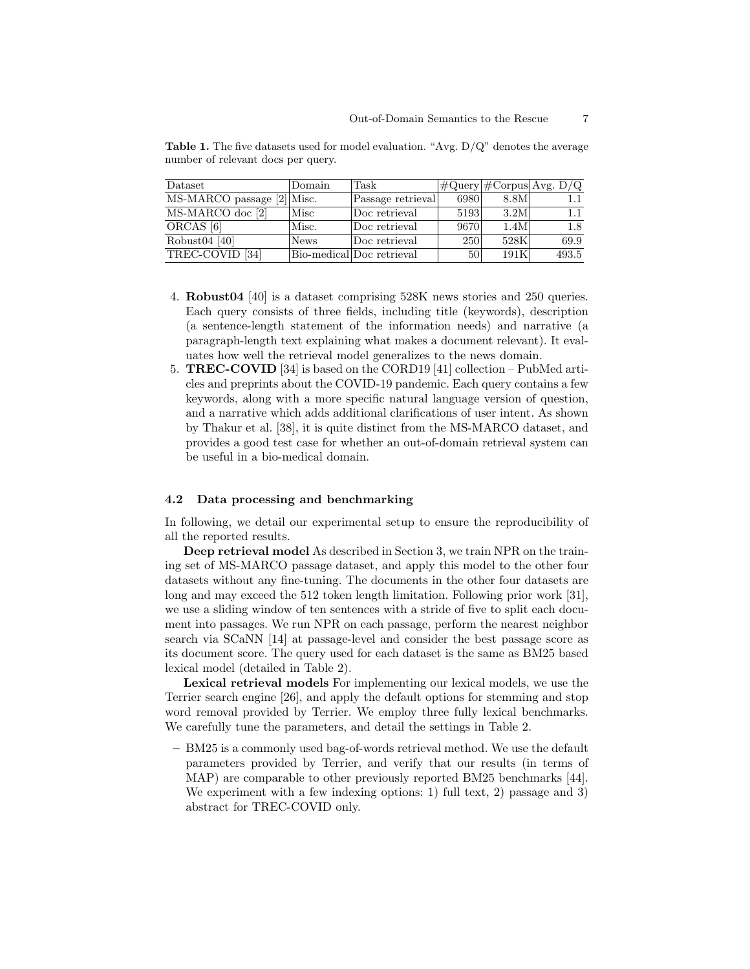| Dataset                    | Domain      | Task                      |      |      | $\#Query \#Corpus Avg. D/Q$ |
|----------------------------|-------------|---------------------------|------|------|-----------------------------|
| MS-MARCO passage [2] Misc. |             | Passage retrieval         | 6980 | 8.8M |                             |
| MS-MARCO doc [2]           | Misc        | Doc retrieval             | 5193 | 3.2M | 1.1                         |
| ORCAS <sup>[6]</sup>       | Misc.       | Doc retrieval             | 9670 | 1.4M | 1.8                         |
| Robust $04$ [40]           | <b>News</b> | Doc retrieval             | 250  | 528K | 69.9                        |
| TREC-COVID [34]            |             | Bio-medical Doc retrieval | 50   | 191K | 493.5                       |

Table 1. The five datasets used for model evaluation. "Avg. D/Q" denotes the average number of relevant docs per query.

- 4. Robust04 [40] is a dataset comprising 528K news stories and 250 queries. Each query consists of three fields, including title (keywords), description (a sentence-length statement of the information needs) and narrative (a paragraph-length text explaining what makes a document relevant). It evaluates how well the retrieval model generalizes to the news domain.
- 5. TREC-COVID [34] is based on the CORD19 [41] collection PubMed articles and preprints about the COVID-19 pandemic. Each query contains a few keywords, along with a more specific natural language version of question, and a narrative which adds additional clarifications of user intent. As shown by Thakur et al. [38], it is quite distinct from the MS-MARCO dataset, and provides a good test case for whether an out-of-domain retrieval system can be useful in a bio-medical domain.

#### 4.2 Data processing and benchmarking

In following, we detail our experimental setup to ensure the reproducibility of all the reported results.

Deep retrieval model As described in Section 3, we train NPR on the training set of MS-MARCO passage dataset, and apply this model to the other four datasets without any fine-tuning. The documents in the other four datasets are long and may exceed the 512 token length limitation. Following prior work [31], we use a sliding window of ten sentences with a stride of five to split each document into passages. We run NPR on each passage, perform the nearest neighbor search via SCaNN [14] at passage-level and consider the best passage score as its document score. The query used for each dataset is the same as BM25 based lexical model (detailed in Table 2).

Lexical retrieval models For implementing our lexical models, we use the Terrier search engine [26], and apply the default options for stemming and stop word removal provided by Terrier. We employ three fully lexical benchmarks. We carefully tune the parameters, and detail the settings in Table 2.

– BM25 is a commonly used bag-of-words retrieval method. We use the default parameters provided by Terrier, and verify that our results (in terms of MAP) are comparable to other previously reported BM25 benchmarks [44]. We experiment with a few indexing options: 1) full text, 2) passage and 3) abstract for TREC-COVID only.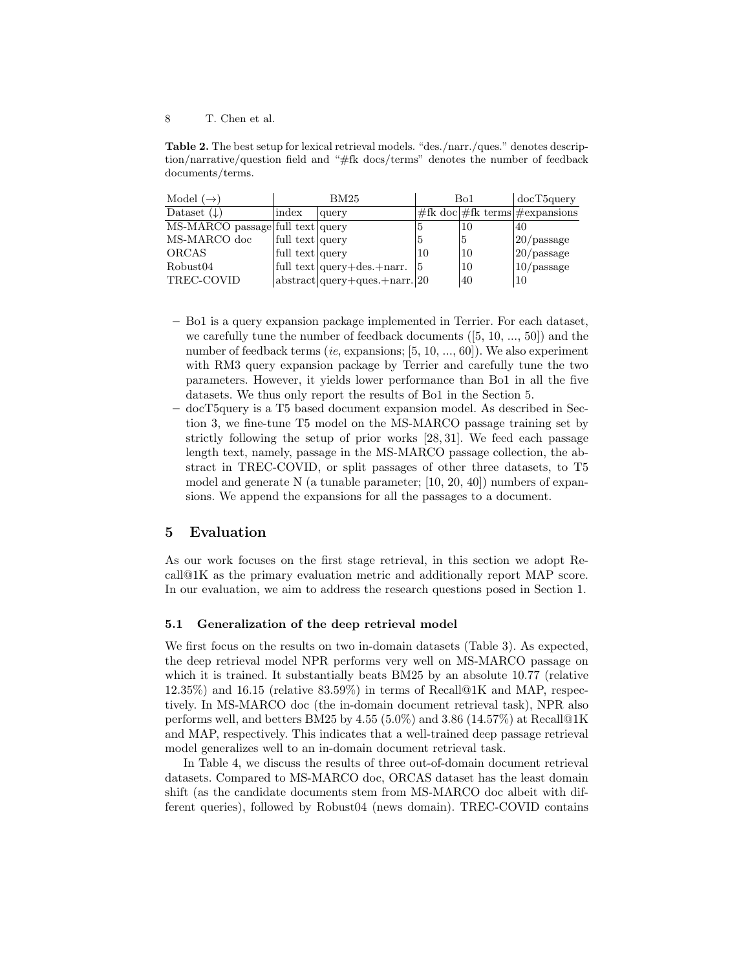Table 2. The best setup for lexical retrieval models. "des./narr./ques." denotes description/narrative/question field and "#fk docs/terms" denotes the number of feedback documents/terms.

| Model $(\rightarrow)$            |                 | BM25                             |    | Bo1 | docT5query                              |  |  |
|----------------------------------|-----------------|----------------------------------|----|-----|-----------------------------------------|--|--|
| Dataset $(\downarrow)$           | index           | query                            |    |     | $\#$ fk doc #fk terms # $\#$ expansions |  |  |
| MS-MARCO passage full text query |                 |                                  | 5  | 10  | 40                                      |  |  |
| MS-MARCO doc                     | full text query |                                  | 5  | 5   | $ 20$ /passage                          |  |  |
| ORCAS                            | full text query |                                  | 10 | 10  | $ 20$ /passage                          |  |  |
| Robust04                         |                 | full text query+des.+narr.       | 15 | 10  | $ 10$ /passage                          |  |  |
| TREC-COVID                       |                 | $ abstract query+ques.+narr. 20$ |    | 40  | 10                                      |  |  |

- Bo1 is a query expansion package implemented in Terrier. For each dataset, we carefully tune the number of feedback documents  $([5, 10, ..., 50])$  and the number of feedback terms (ie, expansions; [5, 10, ..., 60]). We also experiment with RM3 query expansion package by Terrier and carefully tune the two parameters. However, it yields lower performance than Bo1 in all the five datasets. We thus only report the results of Bo1 in the Section 5.
- docT5query is a T5 based document expansion model. As described in Section 3, we fine-tune T5 model on the MS-MARCO passage training set by strictly following the setup of prior works [28, 31]. We feed each passage length text, namely, passage in the MS-MARCO passage collection, the abstract in TREC-COVID, or split passages of other three datasets, to T5 model and generate N (a tunable parameter; [10, 20, 40]) numbers of expansions. We append the expansions for all the passages to a document.

# 5 Evaluation

As our work focuses on the first stage retrieval, in this section we adopt Recall@1K as the primary evaluation metric and additionally report MAP score. In our evaluation, we aim to address the research questions posed in Section 1.

#### 5.1 Generalization of the deep retrieval model

We first focus on the results on two in-domain datasets (Table 3). As expected, the deep retrieval model NPR performs very well on MS-MARCO passage on which it is trained. It substantially beats BM25 by an absolute 10.77 (relative 12.35%) and 16.15 (relative 83.59%) in terms of Recall@1K and MAP, respectively. In MS-MARCO doc (the in-domain document retrieval task), NPR also performs well, and betters BM25 by 4.55 (5.0%) and 3.86 (14.57%) at Recall@1K and MAP, respectively. This indicates that a well-trained deep passage retrieval model generalizes well to an in-domain document retrieval task.

In Table 4, we discuss the results of three out-of-domain document retrieval datasets. Compared to MS-MARCO doc, ORCAS dataset has the least domain shift (as the candidate documents stem from MS-MARCO doc albeit with different queries), followed by Robust04 (news domain). TREC-COVID contains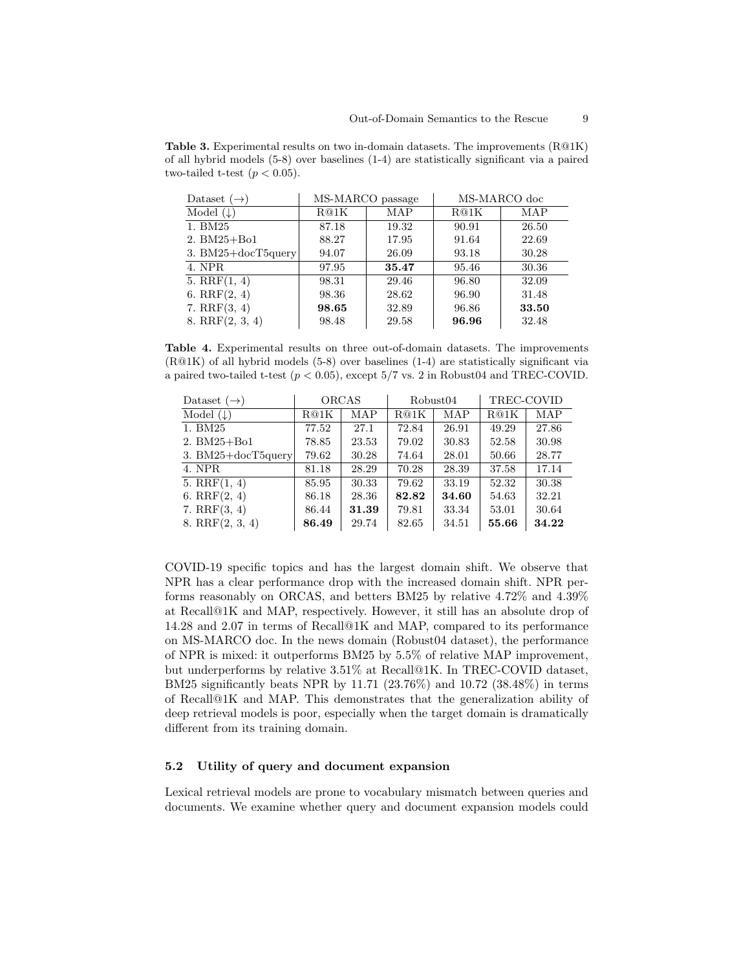**Table 3.** Experimental results on two in-domain datasets. The improvements  $(R@1K)$ of all hybrid models (5-8) over baselines (1-4) are statistically significant via a paired two-tailed t-test  $(p < 0.05)$ .

| Dataset $(\rightarrow)$ |       | MS-MARCO passage | MS-MARCO doc |       |  |  |
|-------------------------|-------|------------------|--------------|-------|--|--|
| Model $(\downarrow)$    | R@1K  | MAP              | R@1K         | MAP   |  |  |
| 1. BM25                 | 87.18 | 19.32            | 90.91        | 26.50 |  |  |
| $2. BM25 + Bol$         | 88.27 | 17.95            | 91.64        | 22.69 |  |  |
| 3. $BM25 + docT5query$  | 94.07 | 26.09            | 93.18        | 30.28 |  |  |
| 4. NPR                  | 97.95 | 35.47            | 95.46        | 30.36 |  |  |
| 5. $RRF(1, 4)$          | 98.31 | 29.46            | 96.80        | 32.09 |  |  |
| 6. $RRF(2, 4)$          | 98.36 | 28.62            | 96.90        | 31.48 |  |  |
| 7. $RRF(3, 4)$          | 98.65 | 32.89            | 96.86        | 33.50 |  |  |
| $8. \, RRF(2, 3, 4)$    | 98.48 | 29.58            | 96.96        | 32.48 |  |  |

Table 4. Experimental results on three out-of-domain datasets. The improvements  $(R@1K)$  of all hybrid models (5-8) over baselines (1-4) are statistically significant via a paired two-tailed t-test  $(p < 0.05)$ , except  $5/7$  vs. 2 in Robust04 and TREC-COVID.

| Dataset $(\rightarrow)$ | <b>ORCAS</b> |       |       | Robust <sub>04</sub> | TREC-COVID |       |  |
|-------------------------|--------------|-------|-------|----------------------|------------|-------|--|
| Model $(\downarrow)$    | R@1K         | MAP   | R@1K  | <b>MAP</b>           | R@1K       | MAP   |  |
| 1. BM25                 | 77.52        | 27.1  | 72.84 | 26.91                | 49.29      | 27.86 |  |
| 2. BM25+Bo1             | 78.85        | 23.53 | 79.02 | 30.83                | 52.58      | 30.98 |  |
| 3. $BM25 + docT5query$  | 79.62        | 30.28 | 74.64 | 28.01                | 50.66      | 28.77 |  |
| 4. NPR                  | 81.18        | 28.29 | 70.28 | 28.39                | 37.58      | 17.14 |  |
| 5. $RRF(1, 4)$          | 85.95        | 30.33 | 79.62 | 33.19                | 52.32      | 30.38 |  |
| 6. $RRF(2, 4)$          | 86.18        | 28.36 | 82.82 | 34.60                | 54.63      | 32.21 |  |
| 7. $RRF(3, 4)$          | 86.44        | 31.39 | 79.81 | 33.34                | 53.01      | 30.64 |  |
| 8. RRF(2, 3, 4)         | 86.49        | 29.74 | 82.65 | 34.51                | 55.66      | 34.22 |  |

COVID-19 specific topics and has the largest domain shift. We observe that NPR has a clear performance drop with the increased domain shift. NPR performs reasonably on ORCAS, and betters BM25 by relative 4.72% and 4.39% at Recall@1K and MAP, respectively. However, it still has an absolute drop of 14.28 and 2.07 in terms of Recall@1K and MAP, compared to its performance on MS-MARCO doc. In the news domain (Robust04 dataset), the performance of NPR is mixed: it outperforms BM25 by 5.5% of relative MAP improvement, but underperforms by relative 3.51% at Recall@1K. In TREC-COVID dataset, BM25 significantly beats NPR by 11.71  $(23.76\%)$  and 10.72  $(38.48\%)$  in terms of Recall@1K and MAP. This demonstrates that the generalization ability of deep retrieval models is poor, especially when the target domain is dramatically different from its training domain.

#### 5.2 Utility of query and document expansion

Lexical retrieval models are prone to vocabulary mismatch between queries and documents. We examine whether query and document expansion models could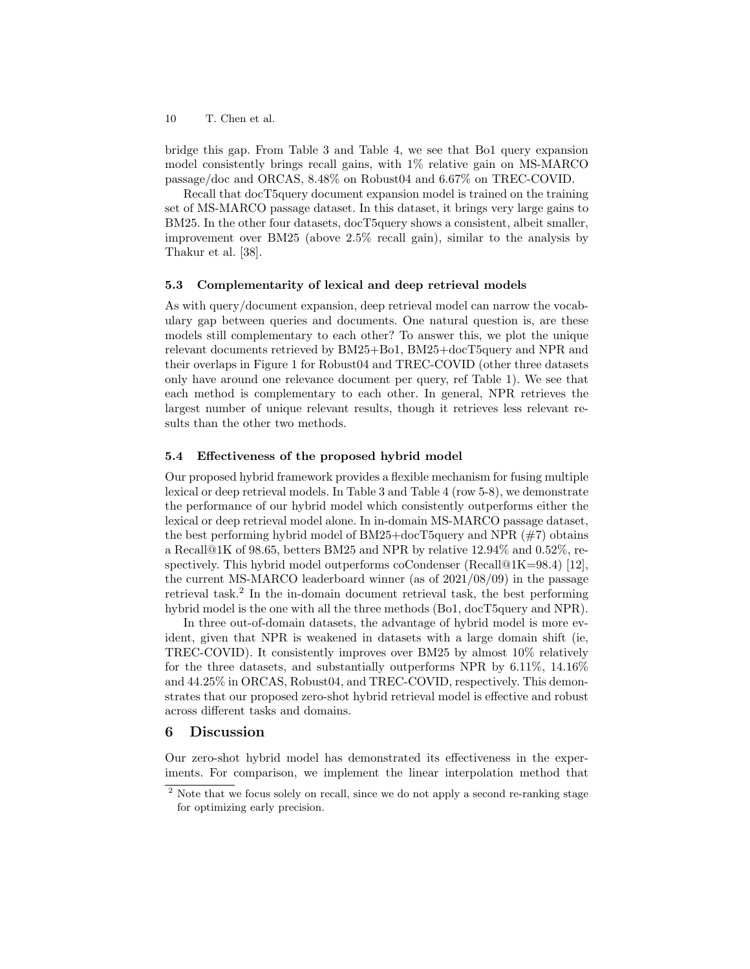bridge this gap. From Table 3 and Table 4, we see that Bo1 query expansion model consistently brings recall gains, with 1% relative gain on MS-MARCO passage/doc and ORCAS, 8.48% on Robust04 and 6.67% on TREC-COVID.

Recall that docT5query document expansion model is trained on the training set of MS-MARCO passage dataset. In this dataset, it brings very large gains to BM25. In the other four datasets, docT5query shows a consistent, albeit smaller, improvement over BM25 (above 2.5% recall gain), similar to the analysis by Thakur et al. [38].

#### 5.3 Complementarity of lexical and deep retrieval models

As with query/document expansion, deep retrieval model can narrow the vocabulary gap between queries and documents. One natural question is, are these models still complementary to each other? To answer this, we plot the unique relevant documents retrieved by BM25+Bo1, BM25+docT5query and NPR and their overlaps in Figure 1 for Robust04 and TREC-COVID (other three datasets only have around one relevance document per query, ref Table 1). We see that each method is complementary to each other. In general, NPR retrieves the largest number of unique relevant results, though it retrieves less relevant results than the other two methods.

#### 5.4 Effectiveness of the proposed hybrid model

Our proposed hybrid framework provides a flexible mechanism for fusing multiple lexical or deep retrieval models. In Table 3 and Table 4 (row 5-8), we demonstrate the performance of our hybrid model which consistently outperforms either the lexical or deep retrieval model alone. In in-domain MS-MARCO passage dataset, the best performing hybrid model of  $BM25 + docT5query$  and NPR  $(\#7)$  obtains a Recall@1K of 98.65, betters BM25 and NPR by relative 12.94% and 0.52%, respectively. This hybrid model outperforms coCondenser (Recall@1K=98.4) [12], the current MS-MARCO leaderboard winner (as of 2021/08/09) in the passage retrieval task.<sup>2</sup> In the in-domain document retrieval task, the best performing hybrid model is the one with all the three methods (Bo1, docT5query and NPR).

In three out-of-domain datasets, the advantage of hybrid model is more evident, given that NPR is weakened in datasets with a large domain shift (ie, TREC-COVID). It consistently improves over BM25 by almost 10% relatively for the three datasets, and substantially outperforms NPR by 6.11%, 14.16% and 44.25% in ORCAS, Robust04, and TREC-COVID, respectively. This demonstrates that our proposed zero-shot hybrid retrieval model is effective and robust across different tasks and domains.

### 6 Discussion

Our zero-shot hybrid model has demonstrated its effectiveness in the experiments. For comparison, we implement the linear interpolation method that

<sup>&</sup>lt;sup>2</sup> Note that we focus solely on recall, since we do not apply a second re-ranking stage for optimizing early precision.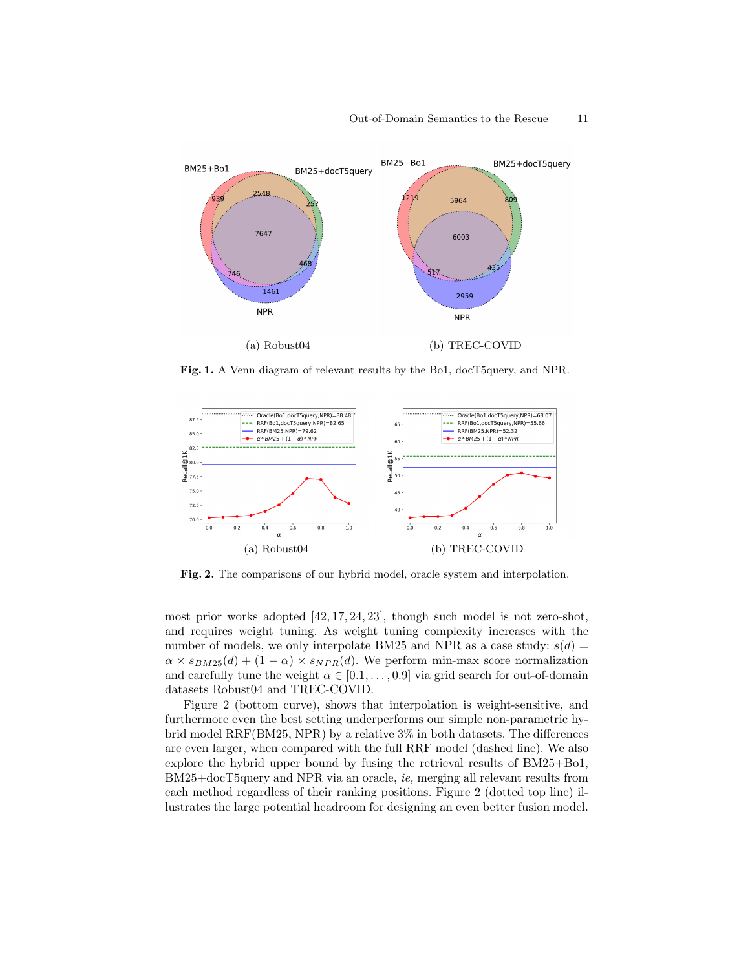

Fig. 1. A Venn diagram of relevant results by the Bo1, docT5query, and NPR.



Fig. 2. The comparisons of our hybrid model, oracle system and interpolation.

most prior works adopted [42, 17, 24, 23], though such model is not zero-shot, and requires weight tuning. As weight tuning complexity increases with the number of models, we only interpolate BM25 and NPR as a case study:  $s(d)$  =  $\alpha \times s_{BM25}(d) + (1 - \alpha) \times s_{NPR}(d)$ . We perform min-max score normalization and carefully tune the weight  $\alpha \in [0.1, \ldots, 0.9]$  via grid search for out-of-domain datasets Robust04 and TREC-COVID.

Figure 2 (bottom curve), shows that interpolation is weight-sensitive, and furthermore even the best setting underperforms our simple non-parametric hybrid model RRF(BM25, NPR) by a relative 3% in both datasets. The differences are even larger, when compared with the full RRF model (dashed line). We also explore the hybrid upper bound by fusing the retrieval results of BM25+Bo1, BM25+docT5query and NPR via an oracle, ie, merging all relevant results from each method regardless of their ranking positions. Figure 2 (dotted top line) illustrates the large potential headroom for designing an even better fusion model.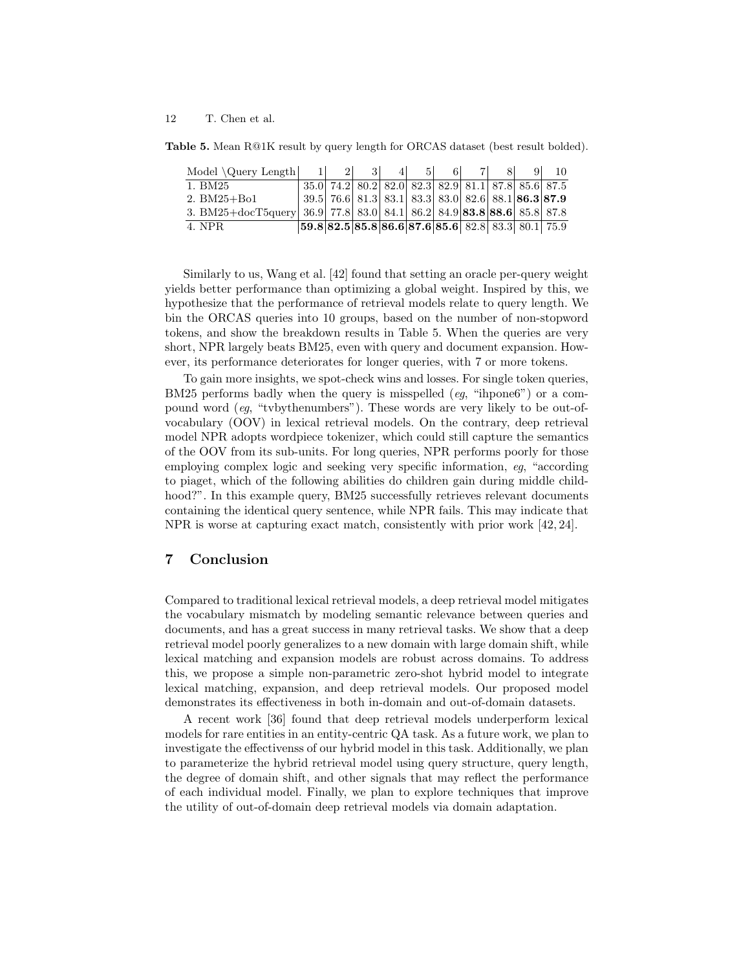Table 5. Mean R@1K result by query length for ORCAS dataset (best result bolded).

| Model $\Query Length$   1   2   3                                    |                                                                                                                                |  | 4 5 | 6 | 7 8 | $9 \mid$                                                            | 10 |
|----------------------------------------------------------------------|--------------------------------------------------------------------------------------------------------------------------------|--|-----|---|-----|---------------------------------------------------------------------|----|
| 1. BM25                                                              |                                                                                                                                |  |     |   |     | 35.0 74.2 80.2 82.0 82.3 82.9 81.1 87.8 85.6 87.5                   |    |
| $2. \, BM25 + B01$                                                   |                                                                                                                                |  |     |   |     | 39.5   76.6   81.3   83.1   83.3   83.0   82.6   88.1   86.3   87.9 |    |
| 3. BM25+docT5query 36.9 77.8 83.0 84.1 86.2 84.9 83.8 83.6 85.8 87.8 |                                                                                                                                |  |     |   |     |                                                                     |    |
| 4. NPR.                                                              | $\left  59.8 \right  82.5 \left  85.8 \right  86.6 \left  87.6 \right  85.6 \left  82.8 \right  83.3 \left  80.1 \right  75.9$ |  |     |   |     |                                                                     |    |

Similarly to us, Wang et al. [42] found that setting an oracle per-query weight yields better performance than optimizing a global weight. Inspired by this, we hypothesize that the performance of retrieval models relate to query length. We bin the ORCAS queries into 10 groups, based on the number of non-stopword tokens, and show the breakdown results in Table 5. When the queries are very short, NPR largely beats BM25, even with query and document expansion. However, its performance deteriorates for longer queries, with 7 or more tokens.

To gain more insights, we spot-check wins and losses. For single token queries, BM25 performs badly when the query is misspelled  $(eg, \text{``ihpone6''})$  or a compound word (eg, "tvbythenumbers"). These words are very likely to be out-ofvocabulary (OOV) in lexical retrieval models. On the contrary, deep retrieval model NPR adopts wordpiece tokenizer, which could still capture the semantics of the OOV from its sub-units. For long queries, NPR performs poorly for those employing complex logic and seeking very specific information, eg, "according to piaget, which of the following abilities do children gain during middle childhood?". In this example query, BM25 successfully retrieves relevant documents containing the identical query sentence, while NPR fails. This may indicate that NPR is worse at capturing exact match, consistently with prior work [42, 24].

# 7 Conclusion

Compared to traditional lexical retrieval models, a deep retrieval model mitigates the vocabulary mismatch by modeling semantic relevance between queries and documents, and has a great success in many retrieval tasks. We show that a deep retrieval model poorly generalizes to a new domain with large domain shift, while lexical matching and expansion models are robust across domains. To address this, we propose a simple non-parametric zero-shot hybrid model to integrate lexical matching, expansion, and deep retrieval models. Our proposed model demonstrates its effectiveness in both in-domain and out-of-domain datasets.

A recent work [36] found that deep retrieval models underperform lexical models for rare entities in an entity-centric QA task. As a future work, we plan to investigate the effectivenss of our hybrid model in this task. Additionally, we plan to parameterize the hybrid retrieval model using query structure, query length, the degree of domain shift, and other signals that may reflect the performance of each individual model. Finally, we plan to explore techniques that improve the utility of out-of-domain deep retrieval models via domain adaptation.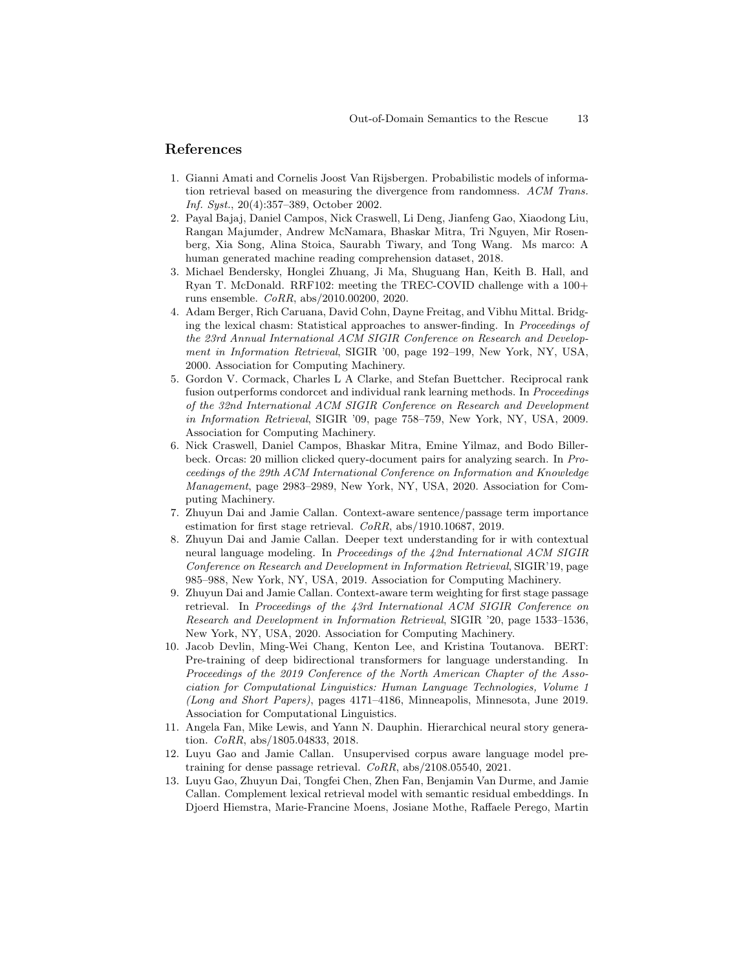# References

- 1. Gianni Amati and Cornelis Joost Van Rijsbergen. Probabilistic models of information retrieval based on measuring the divergence from randomness. ACM Trans. Inf. Syst., 20(4):357–389, October 2002.
- 2. Payal Bajaj, Daniel Campos, Nick Craswell, Li Deng, Jianfeng Gao, Xiaodong Liu, Rangan Majumder, Andrew McNamara, Bhaskar Mitra, Tri Nguyen, Mir Rosenberg, Xia Song, Alina Stoica, Saurabh Tiwary, and Tong Wang. Ms marco: A human generated machine reading comprehension dataset, 2018.
- 3. Michael Bendersky, Honglei Zhuang, Ji Ma, Shuguang Han, Keith B. Hall, and Ryan T. McDonald. RRF102: meeting the TREC-COVID challenge with a 100+ runs ensemble. CoRR, abs/2010.00200, 2020.
- 4. Adam Berger, Rich Caruana, David Cohn, Dayne Freitag, and Vibhu Mittal. Bridging the lexical chasm: Statistical approaches to answer-finding. In Proceedings of the 23rd Annual International ACM SIGIR Conference on Research and Development in Information Retrieval, SIGIR '00, page 192–199, New York, NY, USA, 2000. Association for Computing Machinery.
- 5. Gordon V. Cormack, Charles L A Clarke, and Stefan Buettcher. Reciprocal rank fusion outperforms condorcet and individual rank learning methods. In Proceedings of the 32nd International ACM SIGIR Conference on Research and Development in Information Retrieval, SIGIR '09, page 758–759, New York, NY, USA, 2009. Association for Computing Machinery.
- 6. Nick Craswell, Daniel Campos, Bhaskar Mitra, Emine Yilmaz, and Bodo Billerbeck. Orcas: 20 million clicked query-document pairs for analyzing search. In Proceedings of the 29th ACM International Conference on Information and Knowledge Management, page 2983–2989, New York, NY, USA, 2020. Association for Computing Machinery.
- 7. Zhuyun Dai and Jamie Callan. Context-aware sentence/passage term importance estimation for first stage retrieval. CoRR, abs/1910.10687, 2019.
- 8. Zhuyun Dai and Jamie Callan. Deeper text understanding for ir with contextual neural language modeling. In Proceedings of the 42nd International ACM SIGIR Conference on Research and Development in Information Retrieval, SIGIR'19, page 985–988, New York, NY, USA, 2019. Association for Computing Machinery.
- 9. Zhuyun Dai and Jamie Callan. Context-aware term weighting for first stage passage retrieval. In Proceedings of the 43rd International ACM SIGIR Conference on Research and Development in Information Retrieval, SIGIR '20, page 1533–1536, New York, NY, USA, 2020. Association for Computing Machinery.
- 10. Jacob Devlin, Ming-Wei Chang, Kenton Lee, and Kristina Toutanova. BERT: Pre-training of deep bidirectional transformers for language understanding. In Proceedings of the 2019 Conference of the North American Chapter of the Association for Computational Linguistics: Human Language Technologies, Volume 1 (Long and Short Papers), pages 4171–4186, Minneapolis, Minnesota, June 2019. Association for Computational Linguistics.
- 11. Angela Fan, Mike Lewis, and Yann N. Dauphin. Hierarchical neural story generation. CoRR, abs/1805.04833, 2018.
- 12. Luyu Gao and Jamie Callan. Unsupervised corpus aware language model pretraining for dense passage retrieval. CoRR, abs/2108.05540, 2021.
- 13. Luyu Gao, Zhuyun Dai, Tongfei Chen, Zhen Fan, Benjamin Van Durme, and Jamie Callan. Complement lexical retrieval model with semantic residual embeddings. In Djoerd Hiemstra, Marie-Francine Moens, Josiane Mothe, Raffaele Perego, Martin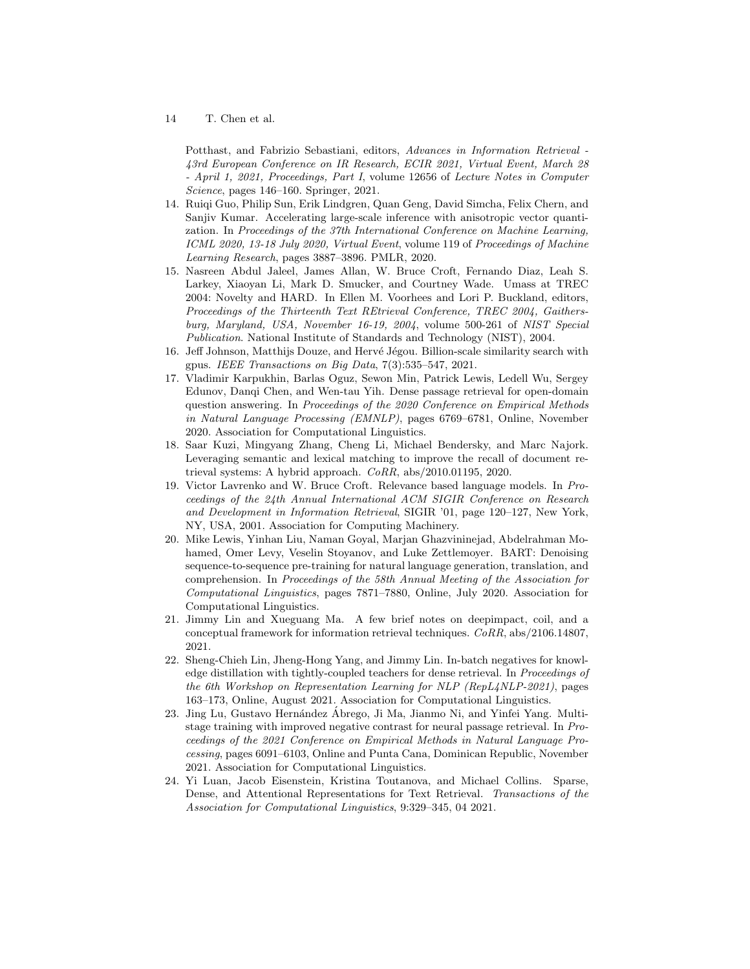Potthast, and Fabrizio Sebastiani, editors, Advances in Information Retrieval - 43rd European Conference on IR Research, ECIR 2021, Virtual Event, March 28 - April 1, 2021, Proceedings, Part I, volume 12656 of Lecture Notes in Computer Science, pages 146–160. Springer, 2021.

- 14. Ruiqi Guo, Philip Sun, Erik Lindgren, Quan Geng, David Simcha, Felix Chern, and Sanjiv Kumar. Accelerating large-scale inference with anisotropic vector quantization. In Proceedings of the 37th International Conference on Machine Learning, ICML 2020, 13-18 July 2020, Virtual Event, volume 119 of Proceedings of Machine Learning Research, pages 3887–3896. PMLR, 2020.
- 15. Nasreen Abdul Jaleel, James Allan, W. Bruce Croft, Fernando Diaz, Leah S. Larkey, Xiaoyan Li, Mark D. Smucker, and Courtney Wade. Umass at TREC 2004: Novelty and HARD. In Ellen M. Voorhees and Lori P. Buckland, editors, Proceedings of the Thirteenth Text REtrieval Conference, TREC 2004, Gaithersburg, Maryland, USA, November 16-19, 2004, volume 500-261 of NIST Special Publication. National Institute of Standards and Technology (NIST), 2004.
- 16. Jeff Johnson, Matthijs Douze, and Hervé Jégou. Billion-scale similarity search with gpus. IEEE Transactions on Big Data, 7(3):535–547, 2021.
- 17. Vladimir Karpukhin, Barlas Oguz, Sewon Min, Patrick Lewis, Ledell Wu, Sergey Edunov, Danqi Chen, and Wen-tau Yih. Dense passage retrieval for open-domain question answering. In Proceedings of the 2020 Conference on Empirical Methods in Natural Language Processing (EMNLP), pages 6769–6781, Online, November 2020. Association for Computational Linguistics.
- 18. Saar Kuzi, Mingyang Zhang, Cheng Li, Michael Bendersky, and Marc Najork. Leveraging semantic and lexical matching to improve the recall of document retrieval systems: A hybrid approach. CoRR, abs/2010.01195, 2020.
- 19. Victor Lavrenko and W. Bruce Croft. Relevance based language models. In Proceedings of the 24th Annual International ACM SIGIR Conference on Research and Development in Information Retrieval, SIGIR '01, page 120–127, New York, NY, USA, 2001. Association for Computing Machinery.
- 20. Mike Lewis, Yinhan Liu, Naman Goyal, Marjan Ghazvininejad, Abdelrahman Mohamed, Omer Levy, Veselin Stoyanov, and Luke Zettlemoyer. BART: Denoising sequence-to-sequence pre-training for natural language generation, translation, and comprehension. In Proceedings of the 58th Annual Meeting of the Association for Computational Linguistics, pages 7871–7880, Online, July 2020. Association for Computational Linguistics.
- 21. Jimmy Lin and Xueguang Ma. A few brief notes on deepimpact, coil, and a conceptual framework for information retrieval techniques. CoRR, abs/2106.14807, 2021.
- 22. Sheng-Chieh Lin, Jheng-Hong Yang, and Jimmy Lin. In-batch negatives for knowledge distillation with tightly-coupled teachers for dense retrieval. In *Proceedings of* the 6th Workshop on Representation Learning for NLP (RepL4NLP-2021), pages 163–173, Online, August 2021. Association for Computational Linguistics.
- 23. Jing Lu, Gustavo Hernández Ábrego, Ji Ma, Jianmo Ni, and Yinfei Yang. Multistage training with improved negative contrast for neural passage retrieval. In Proceedings of the 2021 Conference on Empirical Methods in Natural Language Processing, pages 6091–6103, Online and Punta Cana, Dominican Republic, November 2021. Association for Computational Linguistics.
- 24. Yi Luan, Jacob Eisenstein, Kristina Toutanova, and Michael Collins. Sparse, Dense, and Attentional Representations for Text Retrieval. Transactions of the Association for Computational Linguistics, 9:329–345, 04 2021.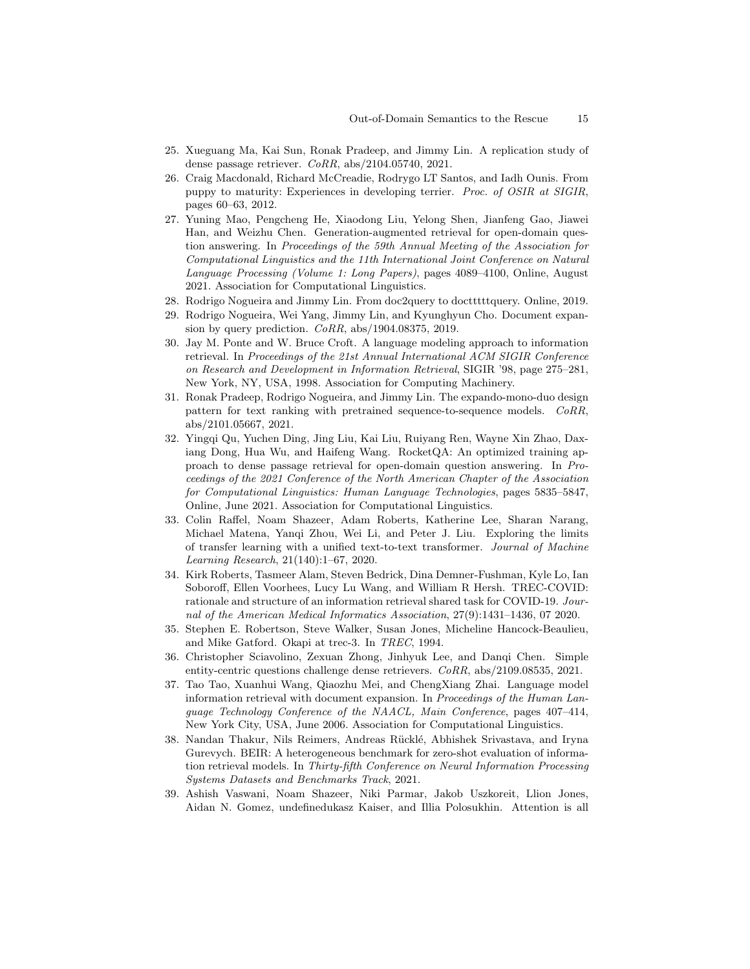- 25. Xueguang Ma, Kai Sun, Ronak Pradeep, and Jimmy Lin. A replication study of dense passage retriever. CoRR, abs/2104.05740, 2021.
- 26. Craig Macdonald, Richard McCreadie, Rodrygo LT Santos, and Iadh Ounis. From puppy to maturity: Experiences in developing terrier. Proc. of OSIR at SIGIR, pages 60–63, 2012.
- 27. Yuning Mao, Pengcheng He, Xiaodong Liu, Yelong Shen, Jianfeng Gao, Jiawei Han, and Weizhu Chen. Generation-augmented retrieval for open-domain question answering. In Proceedings of the 59th Annual Meeting of the Association for Computational Linguistics and the 11th International Joint Conference on Natural Language Processing (Volume 1: Long Papers), pages 4089–4100, Online, August 2021. Association for Computational Linguistics.
- 28. Rodrigo Nogueira and Jimmy Lin. From doc2query to doctttttquery. Online, 2019.
- 29. Rodrigo Nogueira, Wei Yang, Jimmy Lin, and Kyunghyun Cho. Document expansion by query prediction.  $CoRR$ , abs/1904.08375, 2019.
- 30. Jay M. Ponte and W. Bruce Croft. A language modeling approach to information retrieval. In Proceedings of the 21st Annual International ACM SIGIR Conference on Research and Development in Information Retrieval, SIGIR '98, page 275–281, New York, NY, USA, 1998. Association for Computing Machinery.
- 31. Ronak Pradeep, Rodrigo Nogueira, and Jimmy Lin. The expando-mono-duo design pattern for text ranking with pretrained sequence-to-sequence models. CoRR, abs/2101.05667, 2021.
- 32. Yingqi Qu, Yuchen Ding, Jing Liu, Kai Liu, Ruiyang Ren, Wayne Xin Zhao, Daxiang Dong, Hua Wu, and Haifeng Wang. RocketQA: An optimized training approach to dense passage retrieval for open-domain question answering. In Proceedings of the 2021 Conference of the North American Chapter of the Association for Computational Linguistics: Human Language Technologies, pages 5835–5847, Online, June 2021. Association for Computational Linguistics.
- 33. Colin Raffel, Noam Shazeer, Adam Roberts, Katherine Lee, Sharan Narang, Michael Matena, Yanqi Zhou, Wei Li, and Peter J. Liu. Exploring the limits of transfer learning with a unified text-to-text transformer. Journal of Machine Learning Research, 21(140):1–67, 2020.
- 34. Kirk Roberts, Tasmeer Alam, Steven Bedrick, Dina Demner-Fushman, Kyle Lo, Ian Soboroff, Ellen Voorhees, Lucy Lu Wang, and William R Hersh. TREC-COVID: rationale and structure of an information retrieval shared task for COVID-19. Journal of the American Medical Informatics Association, 27(9):1431–1436, 07 2020.
- 35. Stephen E. Robertson, Steve Walker, Susan Jones, Micheline Hancock-Beaulieu, and Mike Gatford. Okapi at trec-3. In TREC, 1994.
- 36. Christopher Sciavolino, Zexuan Zhong, Jinhyuk Lee, and Danqi Chen. Simple entity-centric questions challenge dense retrievers. CoRR, abs/2109.08535, 2021.
- 37. Tao Tao, Xuanhui Wang, Qiaozhu Mei, and ChengXiang Zhai. Language model information retrieval with document expansion. In Proceedings of the Human Language Technology Conference of the NAACL, Main Conference, pages 407–414, New York City, USA, June 2006. Association for Computational Linguistics.
- 38. Nandan Thakur, Nils Reimers, Andreas Rücklé, Abhishek Srivastava, and Iryna Gurevych. BEIR: A heterogeneous benchmark for zero-shot evaluation of information retrieval models. In Thirty-fifth Conference on Neural Information Processing Systems Datasets and Benchmarks Track, 2021.
- 39. Ashish Vaswani, Noam Shazeer, Niki Parmar, Jakob Uszkoreit, Llion Jones, Aidan N. Gomez, undefinedukasz Kaiser, and Illia Polosukhin. Attention is all